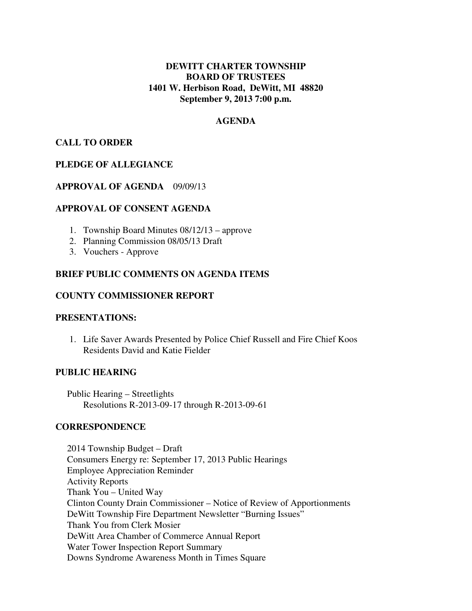# **DEWITT CHARTER TOWNSHIP BOARD OF TRUSTEES 1401 W. Herbison Road, DeWitt, MI 48820 September 9, 2013 7:00 p.m.**

## **AGENDA**

## **CALL TO ORDER**

## **PLEDGE OF ALLEGIANCE**

#### **APPROVAL OF AGENDA** 09/09/13

#### **APPROVAL OF CONSENT AGENDA**

- 1. Township Board Minutes 08/12/13 approve
- 2. Planning Commission 08/05/13 Draft
- 3. Vouchers Approve

## **BRIEF PUBLIC COMMENTS ON AGENDA ITEMS**

## **COUNTY COMMISSIONER REPORT**

#### **PRESENTATIONS:**

1. Life Saver Awards Presented by Police Chief Russell and Fire Chief Koos Residents David and Katie Fielder

#### **PUBLIC HEARING**

 Public Hearing – Streetlights Resolutions R-2013-09-17 through R-2013-09-61

#### **CORRESPONDENCE**

 2014 Township Budget – Draft Consumers Energy re: September 17, 2013 Public Hearings Employee Appreciation Reminder Activity Reports Thank You – United Way Clinton County Drain Commissioner – Notice of Review of Apportionments DeWitt Township Fire Department Newsletter "Burning Issues" Thank You from Clerk Mosier DeWitt Area Chamber of Commerce Annual Report Water Tower Inspection Report Summary Downs Syndrome Awareness Month in Times Square